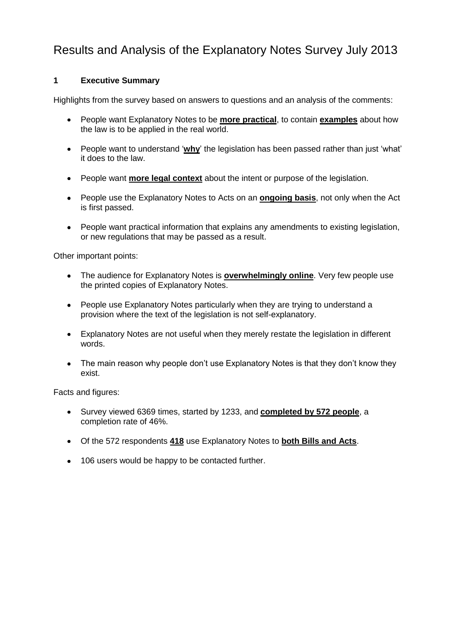# Results and Analysis of the Explanatory Notes Survey July 2013

# **1 Executive Summary**

Highlights from the survey based on answers to questions and an analysis of the comments:

- People want Explanatory Notes to be **more practical**, to contain **examples** about how the law is to be applied in the real world.
- People want to understand '**why**' the legislation has been passed rather than just 'what' it does to the law.
- People want **more legal context** about the intent or purpose of the legislation.
- People use the Explanatory Notes to Acts on an **ongoing basis**, not only when the Act is first passed.
- People want practical information that explains any amendments to existing legislation, or new regulations that may be passed as a result.

Other important points:

- The audience for Explanatory Notes is **overwhelmingly online**. Very few people use the printed copies of Explanatory Notes.
- People use Explanatory Notes particularly when they are trying to understand a provision where the text of the legislation is not self-explanatory.
- Explanatory Notes are not useful when they merely restate the legislation in different words.
- The main reason why people don't use Explanatory Notes is that they don't know they exist.

Facts and figures:

- Survey viewed 6369 times, started by 1233, and **completed by 572 people**, a completion rate of 46%.
- Of the 572 respondents **418** use Explanatory Notes to **both Bills and Acts**.
- 106 users would be happy to be contacted further.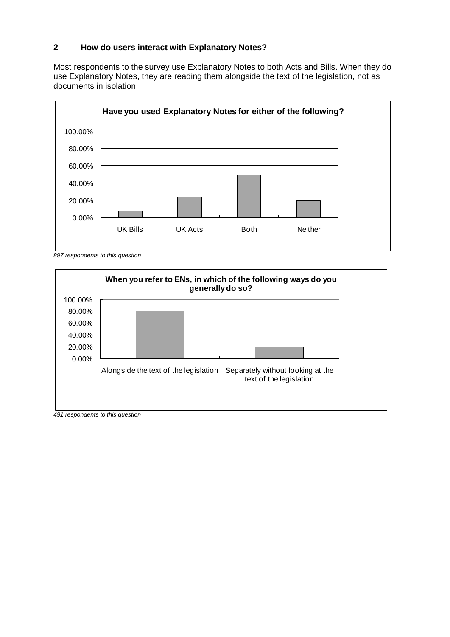## **2 How do users interact with Explanatory Notes?**

Most respondents to the survey use Explanatory Notes to both Acts and Bills. When they do use Explanatory Notes, they are reading them alongside the text of the legislation, not as documents in isolation.



*<sup>897</sup> respondents to this question*



*491 respondents to this question*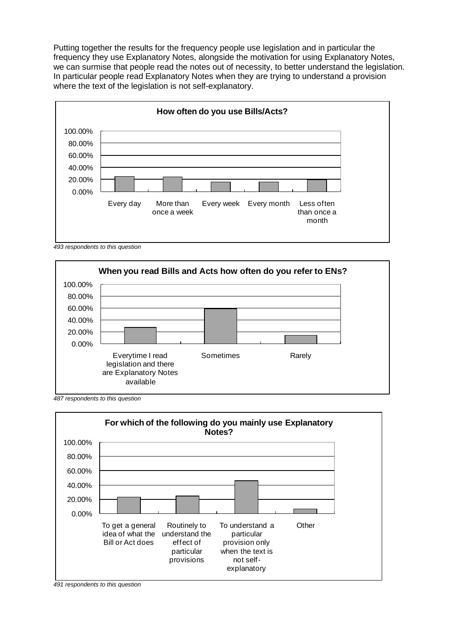Putting together the results for the frequency people use legislation and in particular the frequency they use Explanatory Notes, alongside the motivation for using Explanatory Notes, we can surmise that people read the notes out of necessity, to better understand the legislation. In particular people read Explanatory Notes when they are trying to understand a provision where the text of the legislation is not self-explanatory.



*<sup>493</sup> respondents to this question*



*<sup>487</sup> respondents to this question*



*491 respondents to this question*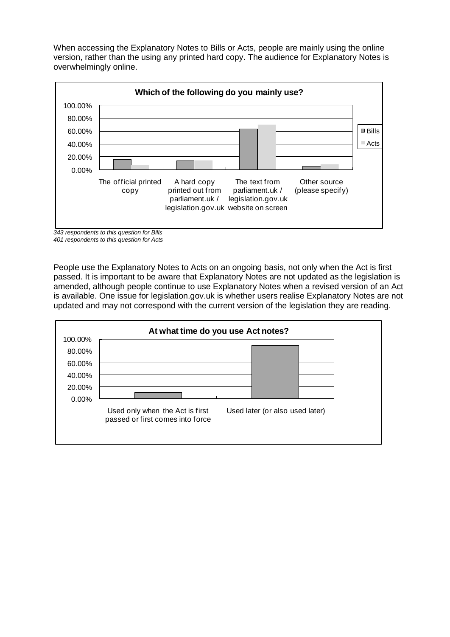When accessing the Explanatory Notes to Bills or Acts, people are mainly using the online version, rather than the using any printed hard copy. The audience for Explanatory Notes is overwhelmingly online.



*343 respondents to this question for Bills*

*401 respondents to this question for Acts*

People use the Explanatory Notes to Acts on an ongoing basis, not only when the Act is first passed. It is important to be aware that Explanatory Notes are not updated as the legislation is amended, although people continue to use Explanatory Notes when a revised version of an Act is available. One issue for legislation.gov.uk is whether users realise Explanatory Notes are not updated and may not correspond with the current version of the legislation they are reading.

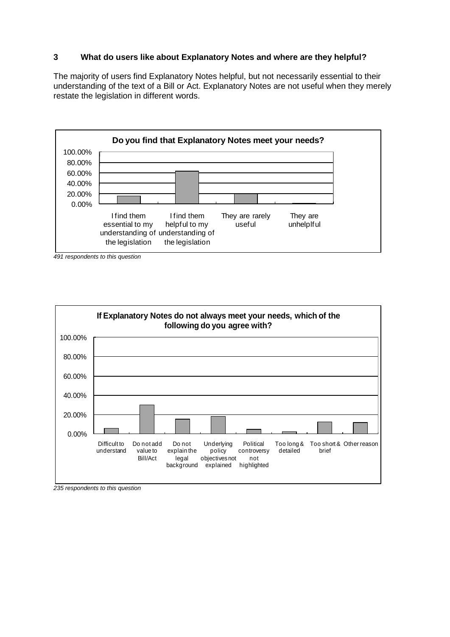## **3 What do users like about Explanatory Notes and where are they helpful?**

The majority of users find Explanatory Notes helpful, but not necessarily essential to their understanding of the text of a Bill or Act. Explanatory Notes are not useful when they merely restate the legislation in different words.



*491 respondents to this question*



*<sup>235</sup> respondents to this question*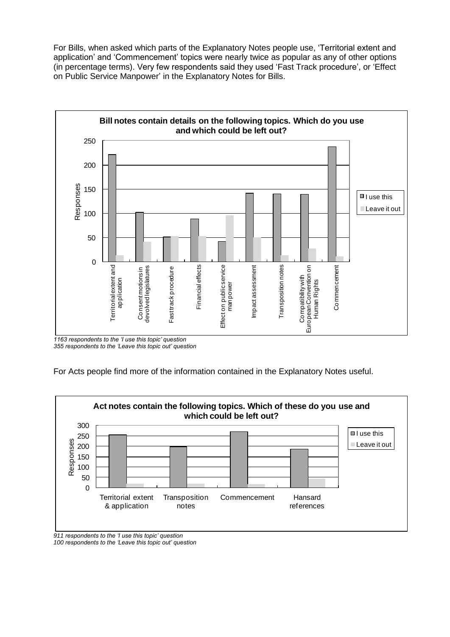For Bills, when asked which parts of the Explanatory Notes people use, 'Territorial extent and application' and 'Commencement' topics were nearly twice as popular as any of other options (in percentage terms). Very few respondents said they used 'Fast Track procedure', or 'Effect on Public Service Manpower' in the Explanatory Notes for Bills.



*1163 respondents to the 'I use this topic' question 355 respondents to the 'Leave this topic out' question*

For Acts people find more of the information contained in the Explanatory Notes useful.



*100 respondents to the 'Leave this topic out' question*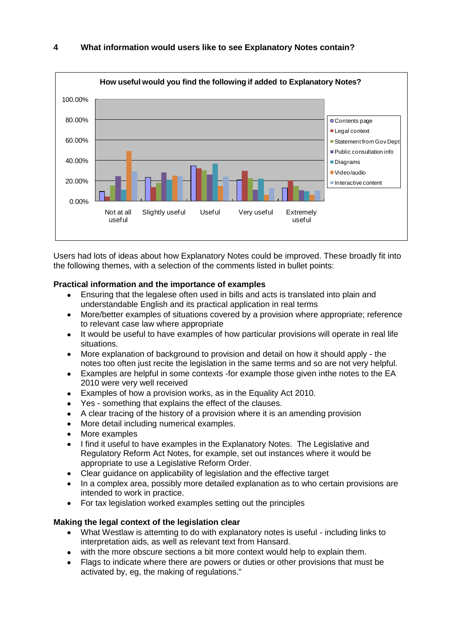

Users had lots of ideas about how Explanatory Notes could be improved. These broadly fit into the following themes, with a selection of the comments listed in bullet points:

# **Practical information and the importance of examples**

- Ensuring that the legalese often used in bills and acts is translated into plain and understandable English and its practical application in real terms
- $\bullet$ More/better examples of situations covered by a provision where appropriate; reference to relevant case law where appropriate
- It would be useful to have examples of how particular provisions will operate in real life situations.
- More explanation of background to provision and detail on how it should apply the  $\bullet$ notes too often just recite the legislation in the same terms and so are not very helpful.
- Examples are helpful in some contexts -for example those given inthe notes to the EA  $\bullet$ 2010 were very well received
- Examples of how a provision works, as in the Equality Act 2010.
- Yes something that explains the effect of the clauses.  $\bullet$
- A clear tracing of the history of a provision where it is an amending provision  $\bullet$
- More detail including numerical examples.
- More examples
- I find it useful to have examples in the Explanatory Notes. The Legislative and Regulatory Reform Act Notes, for example, set out instances where it would be appropriate to use a Legislative Reform Order.
- Clear guidance on applicability of legislation and the effective target
- In a complex area, possibly more detailed explanation as to who certain provisions are intended to work in practice.
- For tax legislation worked examples setting out the principles

# **Making the legal context of the legislation clear**

- What Westlaw is attemting to do with explanatory notes is useful including links to interpretation aids, as well as relevant text from Hansard.
- with the more obscure sections a bit more context would help to explain them.
- Flags to indicate where there are powers or duties or other provisions that must be activated by, eg, the making of regulations."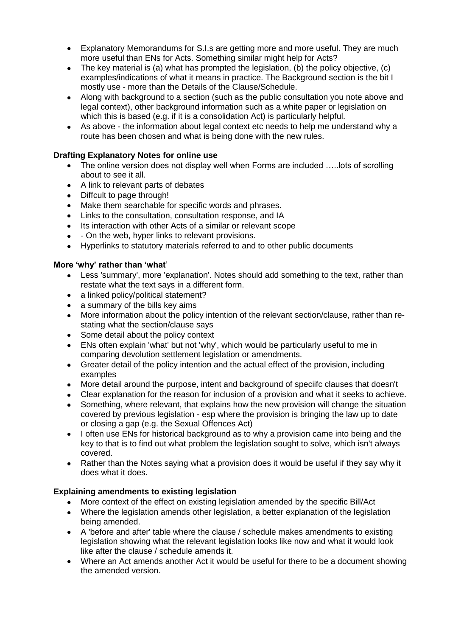- $\bullet$ Explanatory Memorandums for S.I.s are getting more and more useful. They are much more useful than ENs for Acts. Something similar might help for Acts?
- The key material is (a) what has prompted the legislation, (b) the policy objective, (c) examples/indications of what it means in practice. The Background section is the bit I mostly use - more than the Details of the Clause/Schedule.
- Along with background to a section (such as the public consultation you note above and legal context), other background information such as a white paper or legislation on which this is based (e.g. if it is a consolidation Act) is particularly helpful.
- As above the information about legal context etc needs to help me understand why a route has been chosen and what is being done with the new rules.

# **Drafting Explanatory Notes for online use**

- The online version does not display well when Forms are included …..lots of scrolling about to see it all.
- A link to relevant parts of debates
- Diffcult to page through!
- Make them searchable for specific words and phrases.
- Links to the consultation, consultation response, and IA
- Its interaction with other Acts of a similar or relevant scope
- On the web, hyper links to relevant provisions.
- Hyperlinks to statutory materials referred to and to other public documents

## **More 'why' rather than 'what**'

- Less 'summary', more 'explanation'. Notes should add something to the text, rather than restate what the text says in a different form.
- a linked policy/political statement?
- a summary of the bills key aims
- More information about the policy intention of the relevant section/clause, rather than restating what the section/clause says
- Some detail about the policy context
- ENs often explain 'what' but not 'why', which would be particularly useful to me in comparing devolution settlement legislation or amendments.
- Greater detail of the policy intention and the actual effect of the provision, including examples
- More detail around the purpose, intent and background of speciifc clauses that doesn't
- Clear explanation for the reason for inclusion of a provision and what it seeks to achieve.
- $\bullet$ Something, where relevant, that explains how the new provision will change the situation covered by previous legislation - esp where the provision is bringing the law up to date or closing a gap (e.g. the Sexual Offences Act)
- I often use ENs for historical background as to why a provision came into being and the key to that is to find out what problem the legislation sought to solve, which isn't always covered.
- Rather than the Notes saying what a provision does it would be useful if they say why it does what it does.

## **Explaining amendments to existing legislation**

- More context of the effect on existing legislation amended by the specific Bill/Act
- Where the legislation amends other legislation, a better explanation of the legislation being amended.
- A 'before and after' table where the clause / schedule makes amendments to existing legislation showing what the relevant legislation looks like now and what it would look like after the clause / schedule amends it.
- Where an Act amends another Act it would be useful for there to be a document showing the amended version.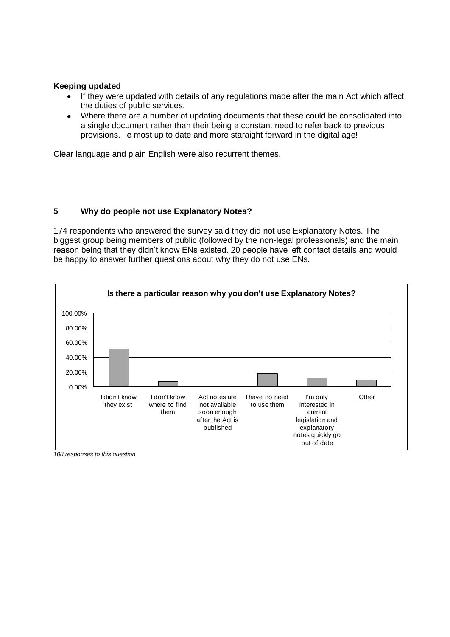#### **Keeping updated**

- $\bullet$ If they were updated with details of any regulations made after the main Act which affect the duties of public services.
- Where there are a number of updating documents that these could be consolidated into  $\bullet$ a single document rather than their being a constant need to refer back to previous provisions. ie most up to date and more staraight forward in the digital age!

Clear language and plain English were also recurrent themes.

## **5 Why do people not use Explanatory Notes?**

174 respondents who answered the survey said they did not use Explanatory Notes. The biggest group being members of public (followed by the non-legal professionals) and the main reason being that they didn't know ENs existed. 20 people have left contact details and would be happy to answer further questions about why they do not use ENs.



*108 responses to this question*